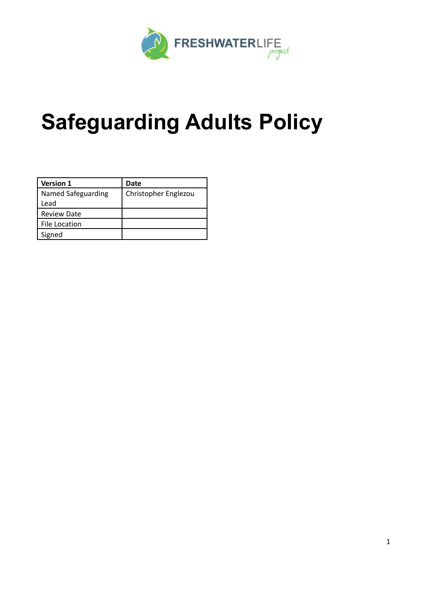

# **Safeguarding Adults Policy**

| <b>Version 1</b>   | Date                 |
|--------------------|----------------------|
| Named Safeguarding | Christopher Englezou |
| Lead               |                      |
| <b>Review Date</b> |                      |
| File Location      |                      |
| Signed             |                      |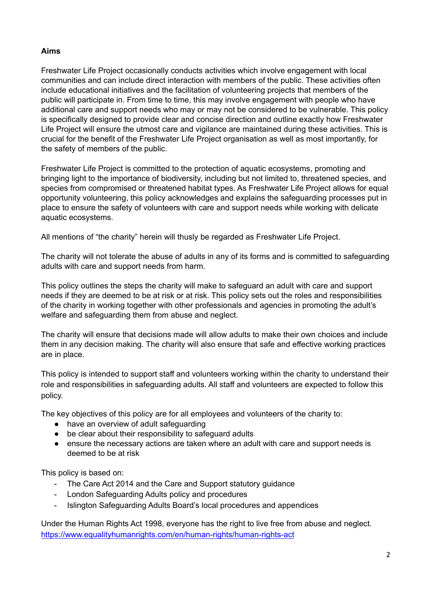## **Aims**

Freshwater Life Project occasionally conducts activities which involve engagement with local communities and can include direct interaction with members of the public. These activities often include educational initiatives and the facilitation of volunteering projects that members of the public will participate in. From time to time, this may involve engagement with people who have additional care and support needs who may or may not be considered to be vulnerable. This policy is specifically designed to provide clear and concise direction and outline exactly how Freshwater Life Project will ensure the utmost care and vigilance are maintained during these activities. This is crucial for the benefit of the Freshwater Life Project organisation as well as most importantly, for the safety of members of the public.

Freshwater Life Project is committed to the protection of aquatic ecosystems, promoting and bringing light to the importance of biodiversity, including but not limited to, threatened species, and species from compromised or threatened habitat types. As Freshwater Life Project allows for equal opportunity volunteering, this policy acknowledges and explains the safeguarding processes put in place to ensure the safety of volunteers with care and support needs while working with delicate aquatic ecosystems.

All mentions of "the charity" herein will thusly be regarded as Freshwater Life Project.

The charity will not tolerate the abuse of adults in any of its forms and is committed to safeguarding adults with care and support needs from harm.

This policy outlines the steps the charity will make to safeguard an adult with care and support needs if they are deemed to be at risk or at risk. This policy sets out the roles and responsibilities of the charity in working together with other professionals and agencies in promoting the adult's welfare and safeguarding them from abuse and neglect.

The charity will ensure that decisions made will allow adults to make their own choices and include them in any decision making. The charity will also ensure that safe and effective working practices are in place.

This policy is intended to support staff and volunteers working within the charity to understand their role and responsibilities in safeguarding adults. All staff and volunteers are expected to follow this policy.

The key objectives of this policy are for all employees and volunteers of the charity to:

- have an overview of adult safeguarding
- be clear about their responsibility to safeguard adults
- ensure the necessary actions are taken where an adult with care and support needs is deemed to be at risk

This policy is based on:

- The Care Act 2014 and the Care and Support statutory guidance
- London Safeguarding Adults policy and procedures
- Islington Safeguarding Adults Board's local procedures and appendices

Under the Human Rights Act 1998, everyone has the right to live free from abuse and neglect. <https://www.equalityhumanrights.com/en/human-rights/human-rights-act>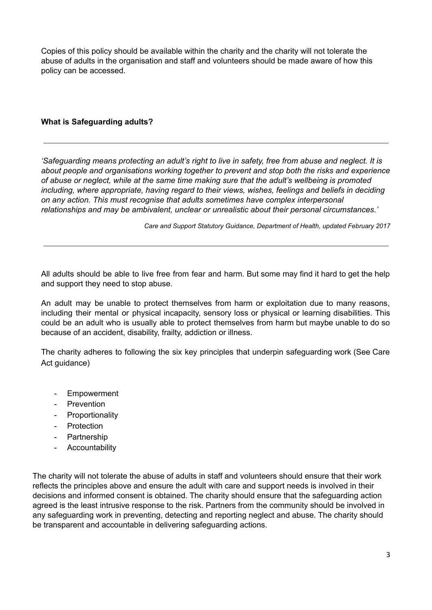Copies of this policy should be available within the charity and the charity will not tolerate the abuse of adults in the organisation and staff and volunteers should be made aware of how this policy can be accessed.

#### **What is Safeguarding adults?**

*'Safeguarding means protecting an adult's right to live in safety, free from abuse and neglect. It is about people and organisations working together to prevent and stop both the risks and experience of abuse or neglect, while at the same time making sure that the adult's wellbeing is promoted including, where appropriate, having regard to their views, wishes, feelings and beliefs in deciding on any action. This must recognise that adults sometimes have complex interpersonal relationships and may be ambivalent, unclear or unrealistic about their personal circumstances.'*

*Care and Support Statutory Guidance, Department of Health, updated February 2017*

All adults should be able to live free from fear and harm. But some may find it hard to get the help and support they need to stop abuse.

An adult may be unable to protect themselves from harm or exploitation due to many reasons, including their mental or physical incapacity, sensory loss or physical or learning disabilities. This could be an adult who is usually able to protect themselves from harm but maybe unable to do so because of an accident, disability, frailty, addiction or illness.

The charity adheres to following the six key principles that underpin safeguarding work (See Care Act guidance)

- **Empowerment**
- Prevention
- Proportionality
- Protection
- Partnership
- Accountability

The charity will not tolerate the abuse of adults in staff and volunteers should ensure that their work reflects the principles above and ensure the adult with care and support needs is involved in their decisions and informed consent is obtained. The charity should ensure that the safeguarding action agreed is the least intrusive response to the risk. Partners from the community should be involved in any safeguarding work in preventing, detecting and reporting neglect and abuse. The charity should be transparent and accountable in delivering safeguarding actions.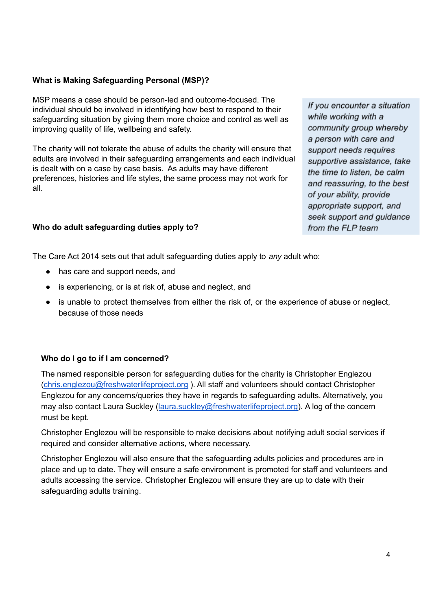## **What is Making Safeguarding Personal (MSP)?**

MSP means a case should be person-led and outcome-focused. The individual should be involved in identifying how best to respond to their safeguarding situation by giving them more choice and control as well as improving quality of life, wellbeing and safety.

The charity will not tolerate the abuse of adults the charity will ensure that adults are involved in their safeguarding arrangements and each individual is dealt with on a case by case basis. As adults may have different preferences, histories and life styles, the same process may not work for all.

## **Who do adult safeguarding duties apply to?**

If you encounter a situation while working with a community group whereby a person with care and support needs requires supportive assistance, take the time to listen, be calm and reassuring, to the best of your ability, provide appropriate support, and seek support and guidance from the FLP team

The Care Act 2014 sets out that adult safeguarding duties apply to *any* adult who:

- has care and support needs, and
- is experiencing, or is at risk of, abuse and neglect, and
- is unable to protect themselves from either the risk of, or the experience of abuse or neglect, because of those needs

## **Who do I go to if I am concerned?**

The named responsible person for safeguarding duties for the charity is Christopher Englezou [\(chris.englezou@freshwaterlifeproject.org](mailto:chris.englezou@freshwaterlifeproject.org) ). All staff and volunteers should contact Christopher Englezou for any concerns/queries they have in regards to safeguarding adults. Alternatively, you may also contact Laura Suckley ([laura.suckley@freshwaterlifeproject.org](mailto:laura.suckley@freshwaterlifeproject.org)). A log of the concern must be kept.

Christopher Englezou will be responsible to make decisions about notifying adult social services if required and consider alternative actions, where necessary.

Christopher Englezou will also ensure that the safeguarding adults policies and procedures are in place and up to date. They will ensure a safe environment is promoted for staff and volunteers and adults accessing the service. Christopher Englezou will ensure they are up to date with their safeguarding adults training.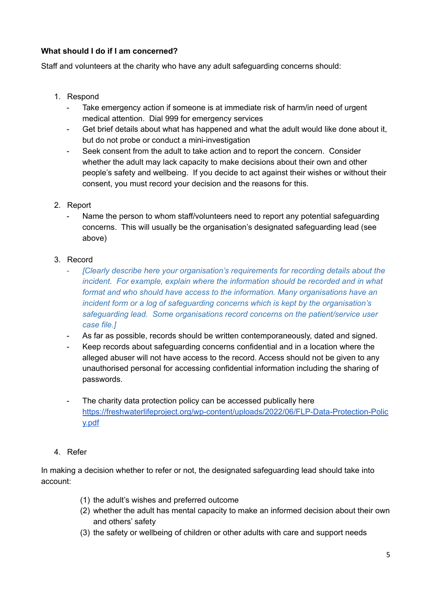## **What should I do if I am concerned?**

Staff and volunteers at the charity who have any adult safeguarding concerns should:

- 1. Respond
	- Take emergency action if someone is at immediate risk of harm/in need of urgent medical attention. Dial 999 for emergency services
	- Get brief details about what has happened and what the adult would like done about it, but do not probe or conduct a mini-investigation
	- Seek consent from the adult to take action and to report the concern. Consider whether the adult may lack capacity to make decisions about their own and other people's safety and wellbeing. If you decide to act against their wishes or without their consent, you must record your decision and the reasons for this.
- 2. Report
	- Name the person to whom staff/volunteers need to report any potential safeguarding concerns. This will usually be the organisation's designated safeguarding lead (see above)
- 3. Record
	- *[Clearly describe here your organisation's requirements for recording details about the incident. For example, explain where the information should be recorded and in what format and who should have access to the information. Many organisations have an incident form or a log of safeguarding concerns which is kept by the organisation's safeguarding lead. Some organisations record concerns on the patient/service user case file.]*
	- As far as possible, records should be written contemporaneously, dated and signed.
	- Keep records about safeguarding concerns confidential and in a location where the alleged abuser will not have access to the record. Access should not be given to any unauthorised personal for accessing confidential information including the sharing of passwords.
	- The charity data protection policy can be accessed publically here [https://freshwaterlifeproject.org/wp-content/uploads/2022/06/FLP-Data-Protection-Polic](https://freshwaterlifeproject.org/wp-content/uploads/2022/06/FLP-Data-Protection-Policy.pdf) [y.pdf](https://freshwaterlifeproject.org/wp-content/uploads/2022/06/FLP-Data-Protection-Policy.pdf)
- 4. Refer

In making a decision whether to refer or not, the designated safeguarding lead should take into account:

- (1) the adult's wishes and preferred outcome
- (2) whether the adult has mental capacity to make an informed decision about their own and others' safety
- (3) the safety or wellbeing of children or other adults with care and support needs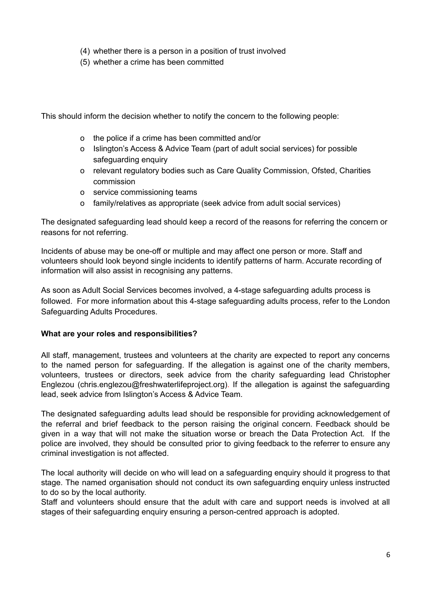- (4) whether there is a person in a position of trust involved
- (5) whether a crime has been committed

This should inform the decision whether to notify the concern to the following people:

- o the police if a crime has been committed and/or
- o Islington's Access & Advice Team (part of adult social services) for possible safeguarding enquiry
- o relevant regulatory bodies such as Care Quality Commission, Ofsted, Charities commission
- o service commissioning teams
- o family/relatives as appropriate (seek advice from adult social services)

The designated safeguarding lead should keep a record of the reasons for referring the concern or reasons for not referring.

Incidents of abuse may be one-off or multiple and may affect one person or more. Staff and volunteers should look beyond single incidents to identify patterns of harm. Accurate recording of information will also assist in recognising any patterns.

As soon as Adult Social Services becomes involved, a 4-stage safeguarding adults process is followed. For more information about this 4-stage safeguarding adults process, refer to the London Safeguarding Adults Procedures.

#### **What are your roles and responsibilities?**

All staff, management, trustees and volunteers at the charity are expected to report any concerns to the named person for safeguarding. If the allegation is against one of the charity members, volunteers, trustees or directors, seek advice from the charity safeguarding lead Christopher Englezou (chris.englezou@freshwaterlifeproject.org). If the allegation is against the safeguarding lead, seek advice from Islington's Access & Advice Team.

The designated safeguarding adults lead should be responsible for providing acknowledgement of the referral and brief feedback to the person raising the original concern. Feedback should be given in a way that will not make the situation worse or breach the Data Protection Act. If the police are involved, they should be consulted prior to giving feedback to the referrer to ensure any criminal investigation is not affected.

The local authority will decide on who will lead on a safeguarding enquiry should it progress to that stage. The named organisation should not conduct its own safeguarding enquiry unless instructed to do so by the local authority.

Staff and volunteers should ensure that the adult with care and support needs is involved at all stages of their safeguarding enquiry ensuring a person-centred approach is adopted.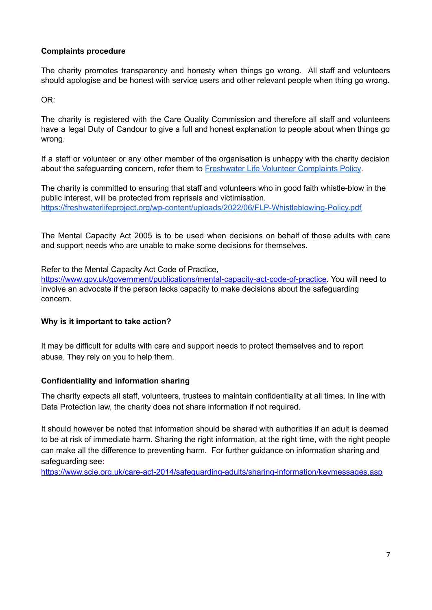## **Complaints procedure**

The charity promotes transparency and honesty when things go wrong. All staff and volunteers should apologise and be honest with service users and other relevant people when thing go wrong.

OR:

The charity is registered with the Care Quality Commission and therefore all staff and volunteers have a legal Duty of Candour to give a full and honest explanation to people about when things go wrong.

If a staff or volunteer or any other member of the organisation is unhappy with the charity decision about the safeguarding concern, refer them to Freshwater Life Volunteer [Complaints](https://freshwaterlifeproject.org/wp-content/uploads/2022/06/Volunteer-Complaints-Procedure.pdf) Policy.

The charity is committed to ensuring that staff and volunteers who in good faith whistle-blow in the public interest, will be protected from reprisals and victimisation. <https://freshwaterlifeproject.org/wp-content/uploads/2022/06/FLP-Whistleblowing-Policy.pdf>

The Mental Capacity Act 2005 is to be used when decisions on behalf of those adults with care and support needs who are unable to make some decisions for themselves.

Refer to the Mental Capacity Act Code of Practice,

[https://www.gov.uk/government/publications/mental-capacity-act-code-of-practice.](https://www.gov.uk/government/publications/mental-capacity-act-code-of-practice) You will need to involve an advocate if the person lacks capacity to make decisions about the safeguarding concern.

#### **Why is it important to take action?**

It may be difficult for adults with care and support needs to protect themselves and to report abuse. They rely on you to help them.

#### **Confidentiality and information sharing**

The charity expects all staff, volunteers, trustees to maintain confidentiality at all times. In line with Data Protection law, the charity does not share information if not required.

It should however be noted that information should be shared with authorities if an adult is deemed to be at risk of immediate harm. Sharing the right information, at the right time, with the right people can make all the difference to preventing harm. For further guidance on information sharing and safeguarding see:

<https://www.scie.org.uk/care-act-2014/safeguarding-adults/sharing-information/keymessages.asp>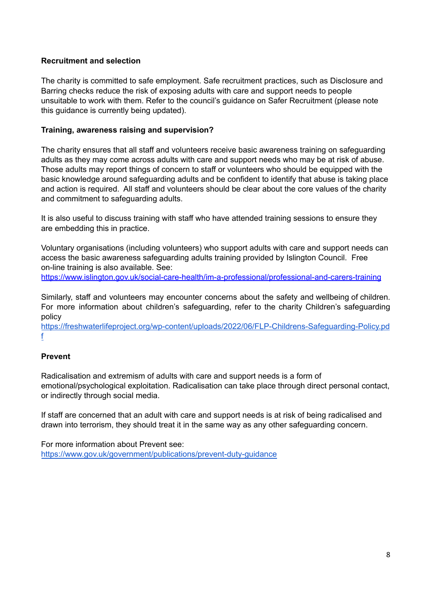## **Recruitment and selection**

The charity is committed to safe employment. Safe recruitment practices, such as Disclosure and Barring checks reduce the risk of exposing adults with care and support needs to people unsuitable to work with them. Refer to the council's guidance on Safer Recruitment (please note this guidance is currently being updated).

### **Training, awareness raising and supervision?**

The charity ensures that all staff and volunteers receive basic awareness training on safeguarding adults as they may come across adults with care and support needs who may be at risk of abuse. Those adults may report things of concern to staff or volunteers who should be equipped with the basic knowledge around safeguarding adults and be confident to identify that abuse is taking place and action is required. All staff and volunteers should be clear about the core values of the charity and commitment to safeguarding adults.

It is also useful to discuss training with staff who have attended training sessions to ensure they are embedding this in practice.

Voluntary organisations (including volunteers) who support adults with care and support needs can access the basic awareness safeguarding adults training provided by Islington Council. Free on-line training is also available. See:

<https://www.islington.gov.uk/social-care-health/im-a-professional/professional-and-carers-training>

Similarly, staff and volunteers may encounter concerns about the safety and wellbeing of children. For more information about children's safeguarding, refer to the charity Children's safeguarding policy

[https://freshwaterlifeproject.org/wp-content/uploads/2022/06/FLP-Childrens-Safeguarding-Policy.pd](https://freshwaterlifeproject.org/wp-content/uploads/2022/06/FLP-Childrens-Safeguarding-Policy.pdf) [f](https://freshwaterlifeproject.org/wp-content/uploads/2022/06/FLP-Childrens-Safeguarding-Policy.pdf)

## **Prevent**

Radicalisation and extremism of adults with care and support needs is a form of emotional/psychological exploitation. Radicalisation can take place through direct personal contact, or indirectly through social media.

If staff are concerned that an adult with care and support needs is at risk of being radicalised and drawn into terrorism, they should treat it in the same way as any other safeguarding concern.

For more information about Prevent see: <https://www.gov.uk/government/publications/prevent-duty-guidance>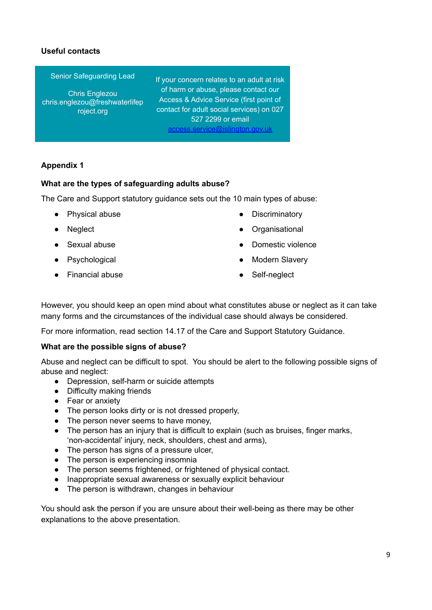## **Useful contacts**

Senior Safeguarding Lead

Chris Englezou chris.englezou@freshwaterlifep roject.org

If your concern relates to an adult at risk of harm or abuse, please contact our Access & Advice Service (first point of contact for adult social services) on 027 527 2299 or email [access.service@islington.gov.uk](mailto:access.service@islington.gov.uk)

## **Appendix 1**

#### **What are the types of safeguarding adults abuse?**

The Care and Support statutory guidance sets out the 10 main types of abuse:

- Physical abuse
- Neglect
- Sexual abuse
- Psychological
- Financial abuse
- Discriminatory
- **Organisational**
- Domestic violence
- Modern Slavery
- Self-neglect

However, you should keep an open mind about what constitutes abuse or neglect as it can take many forms and the circumstances of the individual case should always be considered.

For more information, read section 14.17 of the Care and Support Statutory Guidance.

#### **What are the possible signs of abuse?**

Abuse and neglect can be difficult to spot. You should be alert to the following possible signs of abuse and neglect:

- Depression, self-harm or suicide attempts
- Difficulty making friends
- Fear or anxiety
- The person looks dirty or is not dressed properly,
- The person never seems to have money,
- The person has an injury that is difficult to explain (such as bruises, finger marks, 'non-accidental' injury, neck, shoulders, chest and arms),
- The person has signs of a pressure ulcer,
- The person is experiencing insomnia
- The person seems frightened, or frightened of physical contact.
- Inappropriate sexual awareness or sexually explicit behaviour
- The person is withdrawn, changes in behaviour

You should ask the person if you are unsure about their well-being as there may be other explanations to the above presentation.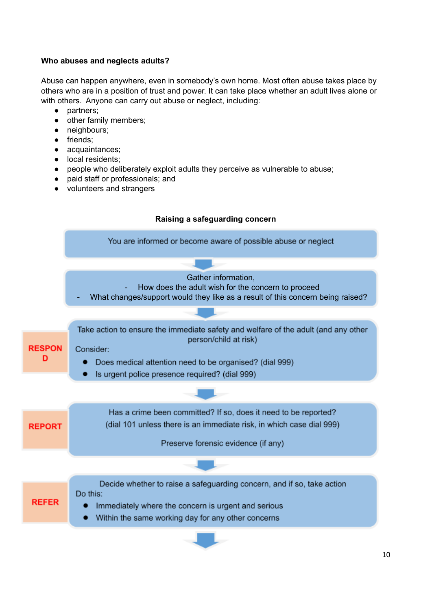## **Who abuses and neglects adults?**

Abuse can happen anywhere, even in somebody's own home. Most often abuse takes place by others who are in a position of trust and power. It can take place whether an adult lives alone or with others. Anyone can carry out abuse or neglect, including:

- partners;
- other family members;
- neighbours;
- friends;
- acquaintances;
- local residents;
- people who deliberately exploit adults they perceive as vulnerable to abuse;
- paid staff or professionals; and
- volunteers and strangers